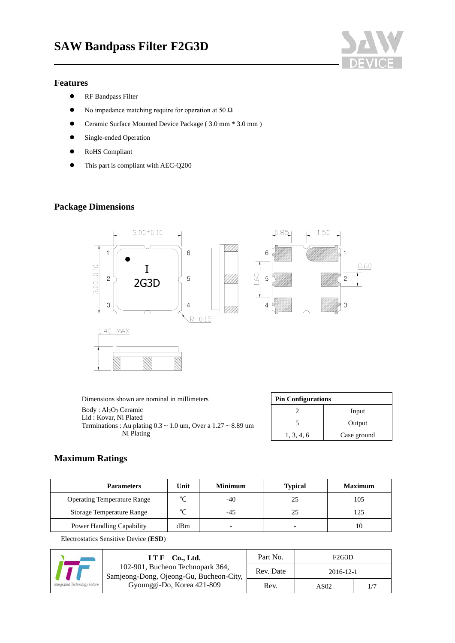# **SAW Bandpass Filter F2G3D**



#### **Features**

- RF Bandpass Filter
- $\bullet$  No impedance matching require for operation at 50  $\Omega$
- Ceramic Surface Mounted Device Package (3.0 mm \* 3.0 mm)
- Single-ended Operation
- ⚫ RoHS Compliant
- ⚫ This part is compliant with AEC-Q200

# **Package Dimensions**



Dimensions shown are nominal in millimeters Body : Al2O<sup>3</sup> Ceramic Lid : Kovar, Ni Plated Terminations : Au plating  $0.3 \sim 1.0$  um, Over a  $1.27 \sim 8.89$  um Ni Plating

| <b>Pin Configurations</b> |             |  |  |
|---------------------------|-------------|--|--|
|                           | Input       |  |  |
|                           | Output      |  |  |
| 1, 3, 4, 6                | Case ground |  |  |

# **Maximum Ratings**

| <b>Parameters</b>                  | Unit   | <b>Minimum</b> | <b>Typical</b> | <b>Maximum</b> |
|------------------------------------|--------|----------------|----------------|----------------|
| <b>Operating Temperature Range</b> | $\sim$ | $-40$          | 25             | 105            |
| <b>Storage Temperature Range</b>   | $\sim$ |                | 25             | 125            |
| Power Handling Capability          | dBm    |                |                | 10             |

Electrostatics Sensitive Device (**ESD**)



| $I T F$ Co., Ltd.                                                           | Part No.  | F <sub>2</sub> G <sub>3</sub> D |     |
|-----------------------------------------------------------------------------|-----------|---------------------------------|-----|
| 102-901, Bucheon Technopark 364,<br>Samjeong-Dong, Ojeong-Gu, Bucheon-City, | Rev. Date | 2016-12-1                       |     |
| Gyounggi-Do, Korea 421-809                                                  | Rev.      | AS <sub>0</sub> 2               | 1/7 |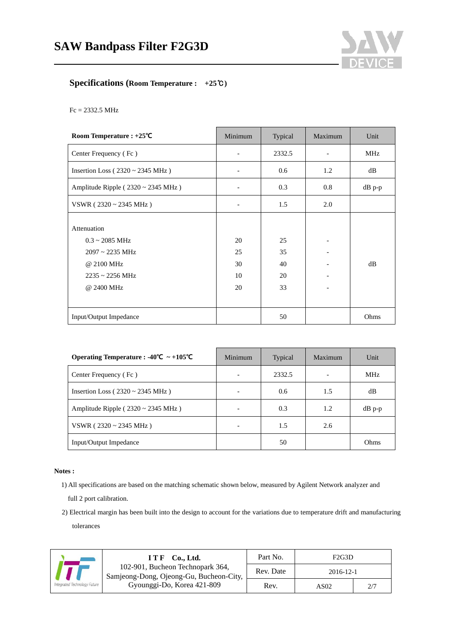

### **Specifications (Room Temperature : +25**℃**)**

Fc = 2332.5 MHz

| Room Temperature : +25°C                                                                                                                  | Minimum                    | Typical                    | Maximum | Unit     |
|-------------------------------------------------------------------------------------------------------------------------------------------|----------------------------|----------------------------|---------|----------|
| Center Frequency (Fc)                                                                                                                     |                            | 2332.5                     |         | MHz      |
| Insertion Loss ( $2320 \sim 2345$ MHz)                                                                                                    |                            | 0.6                        | 1.2     | dB       |
| Amplitude Ripple ( $2320 \sim 2345 \text{ MHz}$ )                                                                                         |                            | 0.3                        | 0.8     | $dB$ p-p |
| VSWR ( $2320 \sim 2345$ MHz)                                                                                                              |                            | 1.5                        | 2.0     |          |
| Attenuation<br>$0.3 \sim 2085 \text{ MHz}$<br>$2097 \sim 2235 \text{ MHz}$<br>@ 2100 MHz<br>$2235 \approx 2256 \text{ MHz}$<br>@ 2400 MHz | 20<br>25<br>30<br>10<br>20 | 25<br>35<br>40<br>20<br>33 |         | dB       |
| Input/Output Impedance                                                                                                                    |                            | 50                         |         | Ohms     |

| Operating Temperature : -40 $\degree$ C ~ +105 $\degree$ C | Minimum | Typical | Maximum | Unit            |
|------------------------------------------------------------|---------|---------|---------|-----------------|
| Center Frequency (Fc)                                      |         | 2332.5  |         | MH <sub>z</sub> |
| Insertion Loss ( $2320 \sim 2345 \text{ MHz}$ )            |         | 0.6     | 1.5     | dB              |
| Amplitude Ripple ( $2320 \sim 2345 \text{ MHz}$ )          |         | 0.3     | 1.2     | $dB$ p-p        |
| VSWR ( $2320 \sim 2345$ MHz)                               |         | 1.5     | 2.6     |                 |
| Input/Output Impedance                                     |         | 50      |         | Ohms            |

**Notes :**

1) All specifications are based on the matching schematic shown below, measured by Agilent Network analyzer and

full 2 port calibration.

2) Electrical margin has been built into the design to account for the variations due to temperature drift and manufacturing tolerances

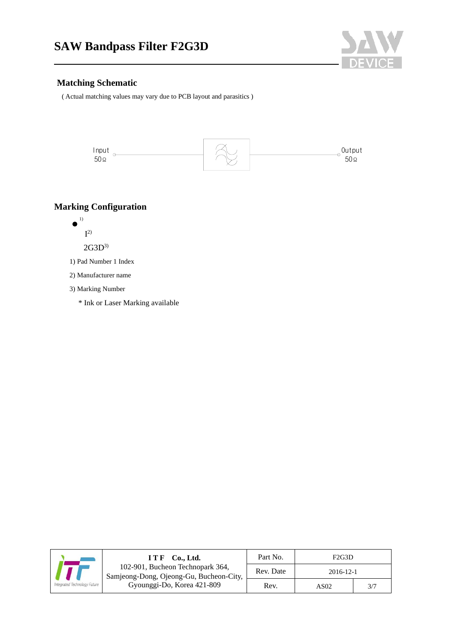

# **Matching Schematic**

( Actual matching values may vary due to PCB layout and parasitics )



# **Marking Configuration**

 $\bullet$ <sup>1)</sup>  $I<sup>2</sup>$ 

 $2G3D^{3}$ 

1) Pad Number 1 Index

2) Manufacturer name

3) Marking Number

\* Ink or Laser Marking available

| ITF Co., Ltd.<br>102-901, Bucheon Technopark 364,<br>Samjeong-Dong, Ojeong-Gu, Bucheon-City, |                            | Part No.  | F2G3D |     |
|----------------------------------------------------------------------------------------------|----------------------------|-----------|-------|-----|
|                                                                                              | Rev. Date                  | 2016-12-1 |       |     |
| Integrated Technology Future                                                                 | Gyounggi-Do, Korea 421-809 | Rev.      | AS02  | 3/7 |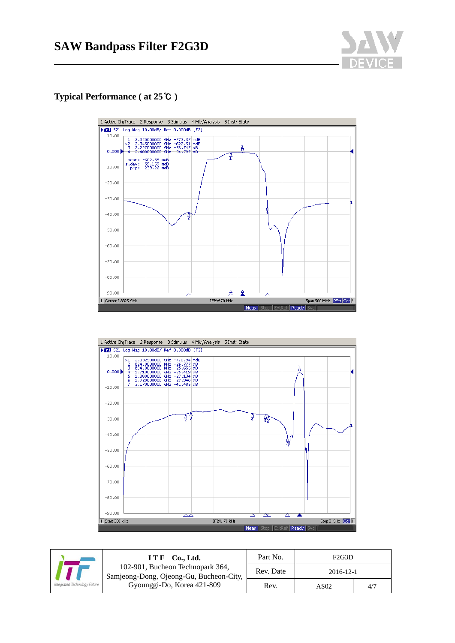

## **Typical Performance ( at 25**℃ **)**





| Integrated Technology Future | Co., Ltd.<br>I T F                                                                                        | Part No.  | F <sub>2</sub> G <sub>3</sub> D |     |
|------------------------------|-----------------------------------------------------------------------------------------------------------|-----------|---------------------------------|-----|
|                              | 102-901, Bucheon Technopark 364,<br>Samjeong-Dong, Ojeong-Gu, Bucheon-City,<br>Gyounggi-Do, Korea 421-809 | Rev. Date | 2016-12-1                       |     |
|                              |                                                                                                           | Rev.      | AS <sub>02</sub>                | 4/7 |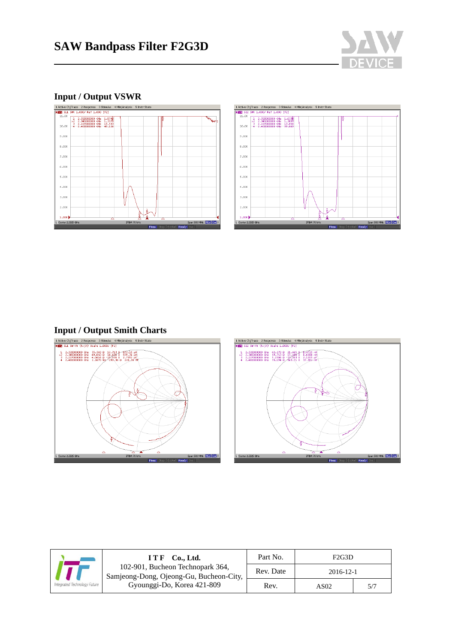







|                              | ITF Co., Ltd.<br>102-901, Bucheon Technopark 364,<br>Samjeong-Dong, Ojeong-Gu, Bucheon-City, | Part No.  | F <sub>2</sub> G <sub>3</sub> D |     |
|------------------------------|----------------------------------------------------------------------------------------------|-----------|---------------------------------|-----|
|                              |                                                                                              | Rev. Date | $2016 - 12 - 1$                 |     |
| Integrated Technology Future | Gyounggi-Do, Korea 421-809                                                                   | Rev.      | AS02                            | 5/7 |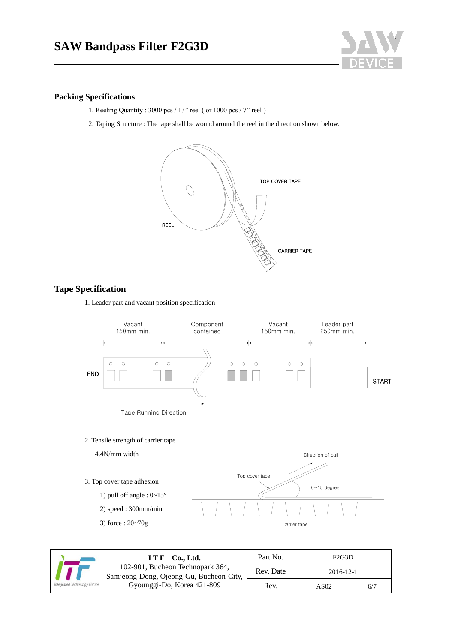

### **Packing Specifications**

- 1. Reeling Quantity : 3000 pcs / 13" reel ( or 1000 pcs / 7" reel )
- 2. Taping Structure : The tape shall be wound around the reel in the direction shown below.



# **Tape Specification**

1. Leader part and vacant position specification



2. Tensile strength of carrier tape



|                          | $I T F$ Co., Ltd.<br>102-901, Bucheon Technopark 364,<br>Samjeong-Dong, Ojeong-Gu, Bucheon-City,<br>Gyounggi-Do, Korea 421-809 | Part No.  | F <sub>2</sub> G <sub>3</sub> D |     |
|--------------------------|--------------------------------------------------------------------------------------------------------------------------------|-----------|---------------------------------|-----|
|                          |                                                                                                                                | Rev. Date | 2016-12-1                       |     |
| grated Technology Future |                                                                                                                                | Rev.      | AS02                            | 6/7 |